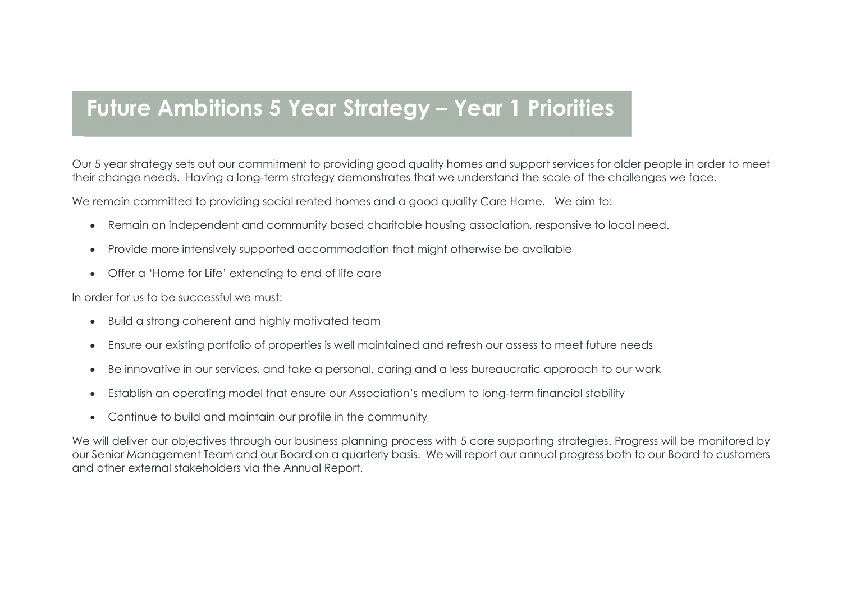## Future Ambitions 5 Year Strategy – Year 1 Priorities

Our 5 year strategy sets out our commitment to providing good quality homes and support services for older people in order to meet their change needs. Having a long-term strategy demonstrates that we understand the scale of the challenges we face.

We remain committed to providing social rented homes and a good quality Care Home. We aim to:

- Remain an independent and community based charitable housing association, responsive to local need.
- Provide more intensively supported accommodation that might otherwise be available
- Offer a 'Home for Life' extending to end of life care

In order for us to be successful we must:

- Build a strong coherent and highly motivated team
- Ensure our existing portfolio of properties is well maintained and refresh our assess to meet future needs
- Be innovative in our services, and take a personal, caring and a less bureaucratic approach to our work
- Establish an operating model that ensure our Association's medium to long-term financial stability
- Continue to build and maintain our profile in the community

We will deliver our objectives through our business planning process with 5 core supporting strategies. Progress will be monitored by our Senior Management Team and our Board on a quarterly basis. We will report our annual progress both to our Board to customers and other external stakeholders via the Annual Report.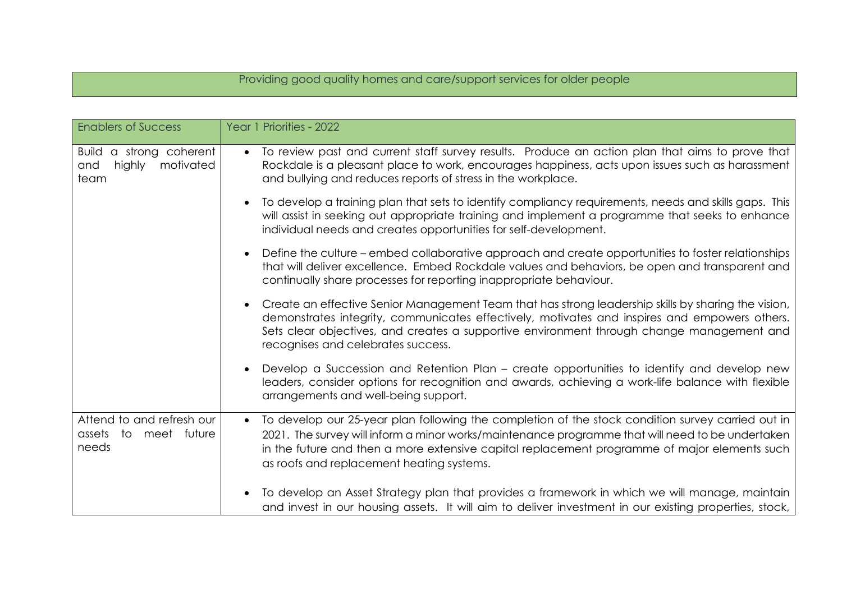## Providing good quality homes and care/support services for older people

| <b>Enablers of Success</b>                                              | Year 1 Priorities - 2022                                                                                                                                                                                                                                                                                                                                        |
|-------------------------------------------------------------------------|-----------------------------------------------------------------------------------------------------------------------------------------------------------------------------------------------------------------------------------------------------------------------------------------------------------------------------------------------------------------|
| <b>Build</b><br>a strong coherent<br>highly<br>motivated<br>and<br>team | To review past and current staff survey results. Produce an action plan that aims to prove that<br>$\bullet$<br>Rockdale is a pleasant place to work, encourages happiness, acts upon issues such as harassment<br>and bullying and reduces reports of stress in the workplace.                                                                                 |
|                                                                         | To develop a training plan that sets to identify compliancy requirements, needs and skills gaps. This<br>will assist in seeking out appropriate training and implement a programme that seeks to enhance<br>individual needs and creates opportunities for self-development.                                                                                    |
|                                                                         | Define the culture – embed collaborative approach and create opportunities to foster relationships<br>that will deliver excellence. Embed Rockdale values and behaviors, be open and transparent and<br>continually share processes for reporting inappropriate behaviour.                                                                                      |
|                                                                         | Create an effective Senior Management Team that has strong leadership skills by sharing the vision,<br>demonstrates integrity, communicates effectively, motivates and inspires and empowers others.<br>Sets clear objectives, and creates a supportive environment through change management and<br>recognises and celebrates success.                         |
|                                                                         | Develop a Succession and Retention Plan – create opportunities to identify and develop new<br>leaders, consider options for recognition and awards, achieving a work-life balance with flexible<br>arrangements and well-being support.                                                                                                                         |
| Attend to and refresh our<br>meet future<br>to<br>assets<br>needs       | To develop our 25-year plan following the completion of the stock condition survey carried out in<br>$\bullet$<br>2021. The survey will inform a minor works/maintenance programme that will need to be undertaken<br>in the future and then a more extensive capital replacement programme of major elements such<br>as roofs and replacement heating systems. |
|                                                                         | To develop an Asset Strategy plan that provides a framework in which we will manage, maintain<br>and invest in our housing assets. It will aim to deliver investment in our existing properties, stock,                                                                                                                                                         |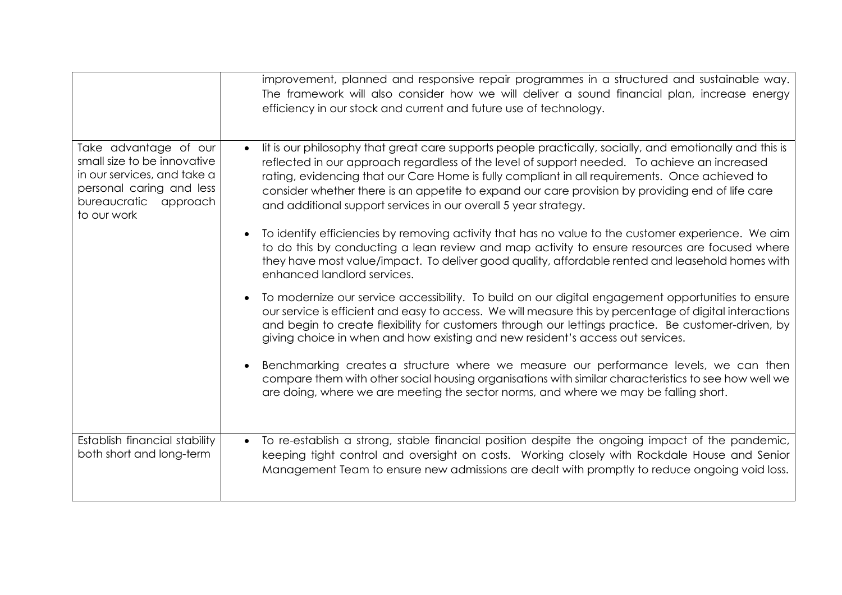|                                                                                                                                                         | improvement, planned and responsive repair programmes in a structured and sustainable way.<br>The framework will also consider how we will deliver a sound financial plan, increase energy<br>efficiency in our stock and current and future use of technology.                                                                                                                                                                                                                   |
|---------------------------------------------------------------------------------------------------------------------------------------------------------|-----------------------------------------------------------------------------------------------------------------------------------------------------------------------------------------------------------------------------------------------------------------------------------------------------------------------------------------------------------------------------------------------------------------------------------------------------------------------------------|
| Take advantage of our<br>small size to be innovative<br>in our services, and take a<br>personal caring and less<br>bureaucratic approach<br>to our work | lit is our philosophy that great care supports people practically, socially, and emotionally and this is<br>reflected in our approach regardless of the level of support needed. To achieve an increased<br>rating, evidencing that our Care Home is fully compliant in all requirements. Once achieved to<br>consider whether there is an appetite to expand our care provision by providing end of life care<br>and additional support services in our overall 5 year strategy. |
|                                                                                                                                                         | To identify efficiencies by removing activity that has no value to the customer experience. We aim<br>to do this by conducting a lean review and map activity to ensure resources are focused where<br>they have most value/impact. To deliver good quality, affordable rented and leasehold homes with<br>enhanced landlord services.                                                                                                                                            |
|                                                                                                                                                         | To modernize our service accessibility. To build on our digital engagement opportunities to ensure<br>our service is efficient and easy to access. We will measure this by percentage of digital interactions<br>and begin to create flexibility for customers through our lettings practice. Be customer-driven, by<br>giving choice in when and how existing and new resident's access out services.                                                                            |
|                                                                                                                                                         | Benchmarking creates a structure where we measure our performance levels, we can then<br>compare them with other social housing organisations with similar characteristics to see how well we<br>are doing, where we are meeting the sector norms, and where we may be falling short.                                                                                                                                                                                             |
| Establish financial stability<br>both short and long-term                                                                                               | • To re-establish a strong, stable financial position despite the ongoing impact of the pandemic,<br>keeping tight control and oversight on costs. Working closely with Rockdale House and Senior<br>Management Team to ensure new admissions are dealt with promptly to reduce ongoing void loss.                                                                                                                                                                                |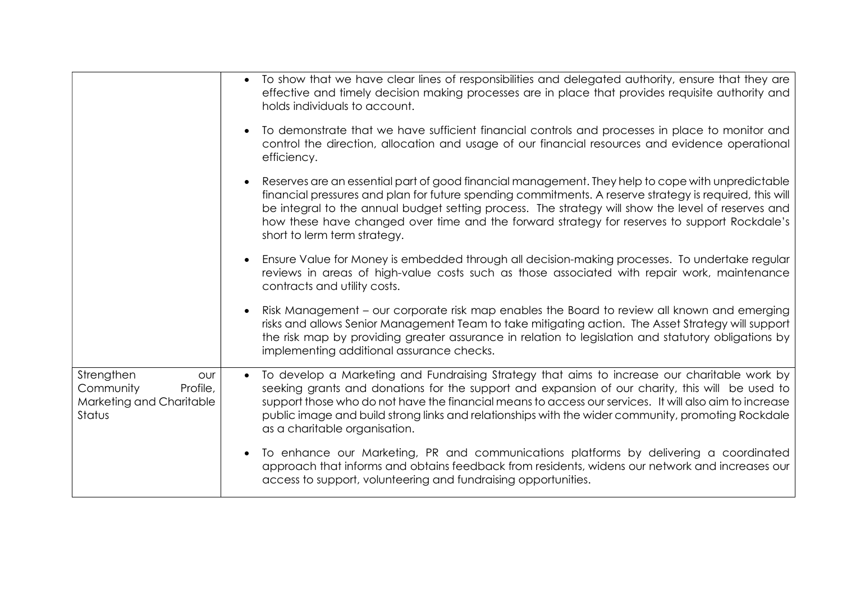|                                                                                  | • To show that we have clear lines of responsibilities and delegated authority, ensure that they are<br>effective and timely decision making processes are in place that provides requisite authority and<br>holds individuals to account.                                                                                                                                                                                                                    |
|----------------------------------------------------------------------------------|---------------------------------------------------------------------------------------------------------------------------------------------------------------------------------------------------------------------------------------------------------------------------------------------------------------------------------------------------------------------------------------------------------------------------------------------------------------|
|                                                                                  | To demonstrate that we have sufficient financial controls and processes in place to monitor and<br>control the direction, allocation and usage of our financial resources and evidence operational<br>efficiency.                                                                                                                                                                                                                                             |
|                                                                                  | Reserves are an essential part of good financial management. They help to cope with unpredictable<br>financial pressures and plan for future spending commitments. A reserve strategy is required, this will<br>be integral to the annual budget setting process. The strategy will show the level of reserves and<br>how these have changed over time and the forward strategy for reserves to support Rockdale's<br>short to lerm term strategy.            |
|                                                                                  | Ensure Value for Money is embedded through all decision-making processes. To undertake regular<br>reviews in areas of high-value costs such as those associated with repair work, maintenance<br>contracts and utility costs.                                                                                                                                                                                                                                 |
|                                                                                  | Risk Management – our corporate risk map enables the Board to review all known and emerging<br>risks and allows Senior Management Team to take mitigating action. The Asset Strategy will support<br>the risk map by providing greater assurance in relation to legislation and statutory obligations by<br>implementing additional assurance checks.                                                                                                         |
| Strengthen<br>our<br>Community<br>Profile,<br>Marketing and Charitable<br>Status | To develop a Marketing and Fundraising Strategy that aims to increase our charitable work by<br>$\bullet$<br>seeking grants and donations for the support and expansion of our charity, this will be used to<br>support those who do not have the financial means to access our services. It will also aim to increase<br>public image and build strong links and relationships with the wider community, promoting Rockdale<br>as a charitable organisation. |
|                                                                                  | To enhance our Marketing, PR and communications platforms by delivering a coordinated<br>approach that informs and obtains feedback from residents, widens our network and increases our<br>access to support, volunteering and fundraising opportunities.                                                                                                                                                                                                    |